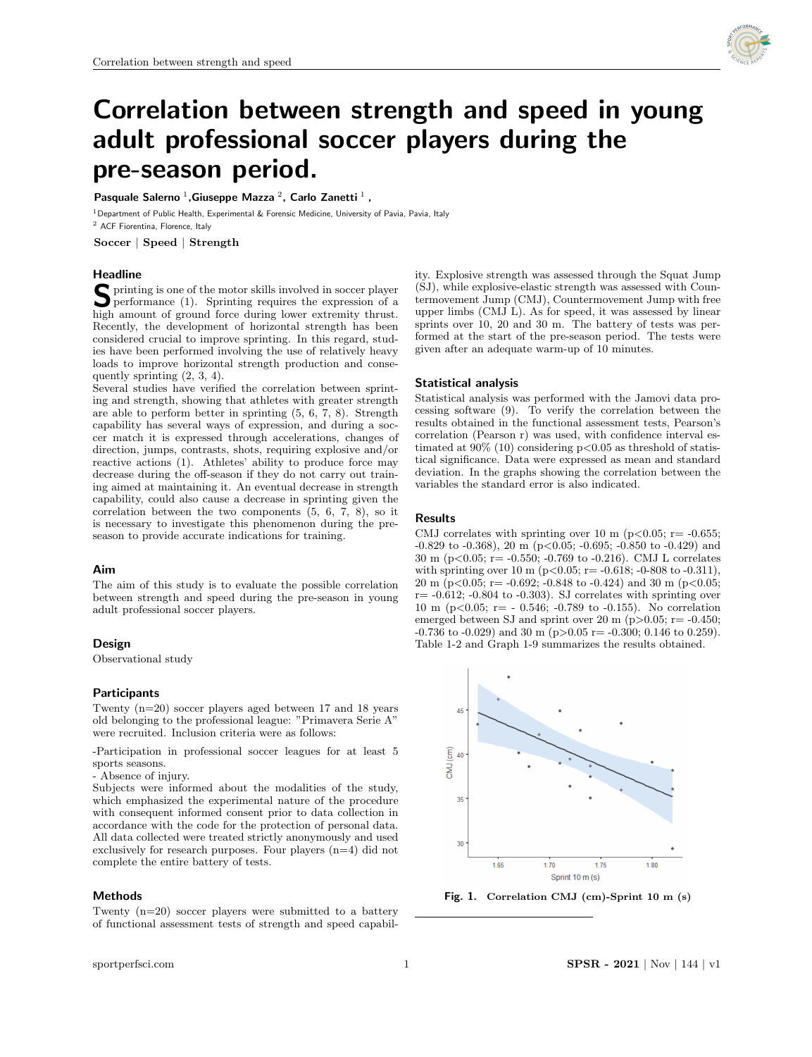

# Correlation between strength and speed in young adult professional soccer players during the pre-season period.

# Pasquale Salerno  $^1$ , Giuseppe Mazza  $^2$ , Carlo Zanetti  $^1$ ,

<sup>1</sup> Department of Public Health, Experimental & Forensic Medicine, University of Pavia, Pavia, Italy

<sup>2</sup> ACF Fiorentina, Florence, Italy

Soccer | Speed | Strength

## Headline

S printing is one of the motor skills involved in soccer player<br>performance (1). Sprinting requires the expression of a<br>high amount of mound force during large automity through performance (1). Sprinting requires the expression of a high amount of ground force during lower extremity thrust. Recently, the development of horizontal strength has been considered crucial to improve sprinting. In this regard, studies have been performed involving the use of relatively heavy loads to improve horizontal strength production and consequently sprinting (2, 3, 4).

Several studies have verified the correlation between sprinting and strength, showing that athletes with greater strength are able to perform better in sprinting (5, 6, 7, 8). Strength capability has several ways of expression, and during a soccer match it is expressed through accelerations, changes of direction, jumps, contrasts, shots, requiring explosive and/or reactive actions (1). Athletes' ability to produce force may decrease during the off-season if they do not carry out training aimed at maintaining it. An eventual decrease in strength capability, could also cause a decrease in sprinting given the correlation between the two components (5, 6, 7, 8), so it is necessary to investigate this phenomenon during the preseason to provide accurate indications for training.

## Aim

The aim of this study is to evaluate the possible correlation between strength and speed during the pre-season in young adult professional soccer players.

# Design

Observational study

## **Participants**

Twenty (n=20) soccer players aged between 17 and 18 years old belonging to the professional league: "Primavera Serie A" were recruited. Inclusion criteria were as follows:

-Participation in professional soccer leagues for at least 5 sports seasons.

- Absence of injury.

Subjects were informed about the modalities of the study, which emphasized the experimental nature of the procedure with consequent informed consent prior to data collection in accordance with the code for the protection of personal data. All data collected were treated strictly anonymously and used exclusively for research purposes. Four players (n=4) did not complete the entire battery of tests.

#### Methods

Twenty (n=20) soccer players were submitted to a battery of functional assessment tests of strength and speed capability. Explosive strength was assessed through the Squat Jump (SJ), while explosive-elastic strength was assessed with Countermovement Jump (CMJ), Countermovement Jump with free upper limbs (CMJ L). As for speed, it was assessed by linear sprints over 10, 20 and 30 m. The battery of tests was performed at the start of the pre-season period. The tests were given after an adequate warm-up of 10 minutes.

#### Statistical analysis

Statistical analysis was performed with the Jamovi data processing software (9). To verify the correlation between the results obtained in the functional assessment tests, Pearson's correlation (Pearson r) was used, with confidence interval estimated at  $90\%$  (10) considering p $< 0.05$  as threshold of statistical significance. Data were expressed as mean and standard deviation. In the graphs showing the correlation between the variables the standard error is also indicated.

## Results

CMJ correlates with sprinting over 10 m (p $<0.05$ ; r= -0.655;  $-0.829$  to  $-0.368$ ),  $20 \text{ m}$  (p $< 0.05$ ;  $-0.695$ ;  $-0.850$  to  $-0.429$ ) and 30 m (p<0.05; r= -0.550; -0.769 to -0.216). CMJ L correlates with sprinting over 10 m ( $p < 0.05$ ; r= -0.618; -0-808 to -0.311), 20 m (p<0.05; r= -0.692; -0.848 to -0.424) and 30 m (p<0.05;  $r=-0.612$ ;  $-0.804$  to  $-0.303$ ). SJ correlates with sprinting over 10 m (p<0.05; r= - 0.546; -0.789 to -0.155). No correlation emerged between SJ and sprint over 20 m ( $p > 0.05$ ; r= -0.450;  $-0.736$  to  $-0.029$ ) and 30 m (p $>0.05$  r=  $-0.300$ ; 0.146 to 0.259). Table 1-2 and Graph 1-9 summarizes the results obtained.



Fig. 1. Correlation CMJ (cm)-Sprint 10 m (s)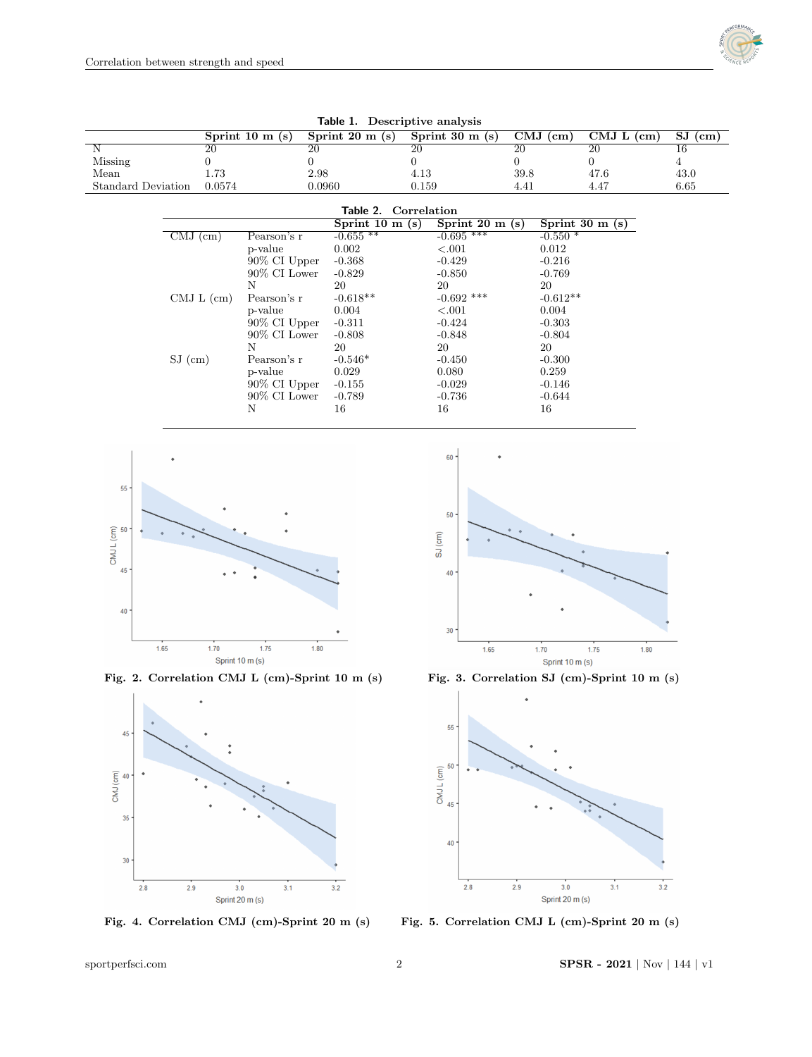

| $\frac{1}{2}$             |                                        |                  |                           |                 |                           |                 |                                        |                                |                                       |
|---------------------------|----------------------------------------|------------------|---------------------------|-----------------|---------------------------|-----------------|----------------------------------------|--------------------------------|---------------------------------------|
|                           |                                        | Sprint 10 $m(s)$ | Sprint $20 \text{ m}$ (s) |                 | Sprint $30 \text{ m}$ (s) |                 | $\overline{\mathrm{CMJ}(\mathrm{cm})}$ | $\overline{\text{CMJ L (cm)}}$ | $\overline{\mathrm{SJ}(\mathrm{cm})}$ |
|                           | $\overline{20}$                        | $\overline{20}$  |                           | $\overline{20}$ |                           | $\overline{20}$ |                                        | $\overline{20}$                | $\overline{16}$                       |
| Missing                   | 0                                      | 0                |                           | $\overline{0}$  |                           | $\Omega$        |                                        | $\overline{0}$                 | $\overline{4}$                        |
| Mean                      | 1.73                                   | 2.98             |                           | 4.13            |                           | 39.8            |                                        | 47.6                           | 43.0                                  |
| <b>Standard Deviation</b> | 0.0574                                 | 0.0960           |                           | 0.159           |                           | 4.41            |                                        | 4.47                           | 6.65                                  |
|                           |                                        |                  |                           |                 |                           |                 |                                        |                                |                                       |
|                           |                                        |                  | Table 2. Correlation      |                 |                           |                 |                                        |                                |                                       |
|                           |                                        |                  | Sprint 10 $m(s)$          |                 | Sprint $20 \text{ m}$ (s) |                 |                                        | Sprint 30 m(s)                 |                                       |
|                           | $\overline{\mathrm{CMJ}(\mathrm{cm})}$ | Pearson's r      | $-0.655**$                |                 | $-0.695$ ***              |                 | $-0.550*$                              |                                |                                       |
|                           |                                        | p-value          | 0.002                     |                 | < .001                    |                 | 0.012                                  |                                |                                       |
|                           |                                        | 90% CI Upper     | $-0.368$                  |                 | $-0.429$                  |                 | $-0.216$                               |                                |                                       |
|                           |                                        | $90\%$ CI Lower  | $-0.829$                  |                 | $-0.850$                  |                 | $-0.769$                               |                                |                                       |
|                           |                                        | Ν                | 20                        |                 | 20                        |                 | 20                                     |                                |                                       |
|                           | CMJ L (cm)                             | Pearson's r      | $-0.618**$                |                 | $-0.692$ ***              |                 | $-0.612**$                             |                                |                                       |
|                           |                                        | p-value          | 0.004                     |                 | < .001                    |                 | 0.004                                  |                                |                                       |
|                           |                                        | 90% CI Upper     | $-0.311$                  |                 | $-0.424$                  |                 | $-0.303$                               |                                |                                       |
|                           |                                        | $90\%$ CI Lower  | $-0.808$                  |                 | $-0.848$                  |                 | $-0.804$                               |                                |                                       |
|                           |                                        | N                | 20                        |                 | 20                        |                 | 20                                     |                                |                                       |
|                           | $SJ$ (cm)                              | Pearson's r      | $-0.546*$                 |                 | $-0.450$                  |                 | $-0.300$                               |                                |                                       |
|                           |                                        | p-value          | 0.029                     |                 | 0.080                     |                 | 0.259                                  |                                |                                       |
|                           |                                        | 90% CI Upper     | $-0.155$                  |                 | $-0.029$                  |                 | $-0.146$                               |                                |                                       |
|                           |                                        | $90\%$ CI Lower  | $-0.789$                  |                 | $-0.736$                  |                 | $-0.644$                               |                                |                                       |
|                           |                                        | Ν                | 16                        |                 | 16                        |                 | 16                                     |                                |                                       |
|                           |                                        |                  |                           |                 |                           |                 |                                        |                                |                                       |





Fig. 2. Correlation CMJ L (cm)-Sprint 10 m (s) Fig. 3. Correlation SJ (cm)-Sprint 10 m (s)







Fig. 4. Correlation CMJ (cm)-Sprint 20 m (s) Fig. 5. Correlation CMJ L (cm)-Sprint 20 m (s)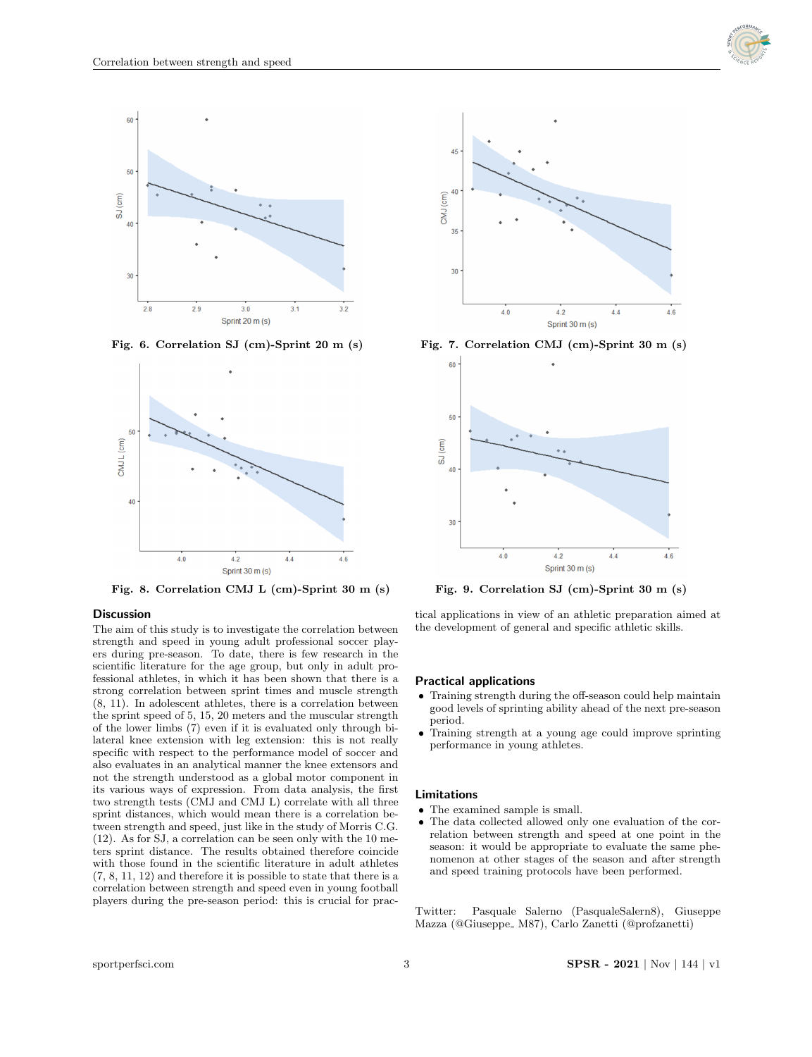





Fig. 8. Correlation CMJ L (cm)-Sprint 30 m (s) Fig. 9. Correlation SJ (cm)-Sprint 30 m (s)

## **Discussion**

The aim of this study is to investigate the correlation between strength and speed in young adult professional soccer players during pre-season. To date, there is few research in the scientific literature for the age group, but only in adult professional athletes, in which it has been shown that there is a strong correlation between sprint times and muscle strength (8, 11). In adolescent athletes, there is a correlation between the sprint speed of 5, 15, 20 meters and the muscular strength of the lower limbs (7) even if it is evaluated only through bilateral knee extension with leg extension: this is not really specific with respect to the performance model of soccer and also evaluates in an analytical manner the knee extensors and not the strength understood as a global motor component in its various ways of expression. From data analysis, the first two strength tests (CMJ and CMJ L) correlate with all three sprint distances, which would mean there is a correlation between strength and speed, just like in the study of Morris C.G. (12). As for SJ, a correlation can be seen only with the 10 meters sprint distance. The results obtained therefore coincide with those found in the scientific literature in adult athletes (7, 8, 11, 12) and therefore it is possible to state that there is a correlation between strength and speed even in young football players during the pre-season period: this is crucial for prac-



Fig. 6. Correlation SJ (cm)-Sprint 20 m (s) Fig. 7. Correlation CMJ (cm)-Sprint 30 m (s)



tical applications in view of an athletic preparation aimed at the development of general and specific athletic skills.

### Practical applications

- Training strength during the off-season could help maintain good levels of sprinting ability ahead of the next pre-season period.
- Training strength at a young age could improve sprinting performance in young athletes.

#### Limitations

- The examined sample is small.
- The data collected allowed only one evaluation of the correlation between strength and speed at one point in the season: it would be appropriate to evaluate the same phenomenon at other stages of the season and after strength and speed training protocols have been performed.

Twitter: Pasquale Salerno (PasqualeSalern8), Giuseppe Mazza (@Giuseppe\_M87), Carlo Zanetti (@profzanetti)